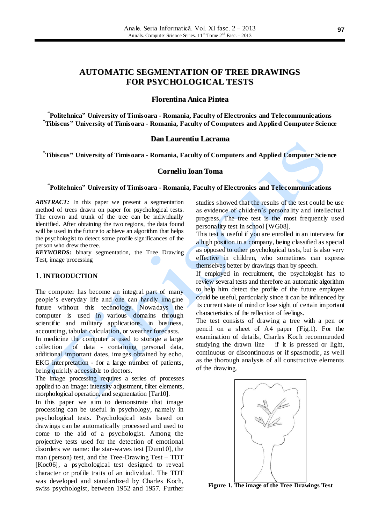# **AUTOMATIC SEGMENTATION OF TREE DRAWINGS FOR PSYCHOLOGICAL TESTS**

### **Florentina Anica Pintea**

**" Politehnica" University of Timisoara - Romania, Faculty of Electronics and Telecommunications "Tibiscus" University of Timisoara - Romania, Faculty of Computers and Applied Computer Science**

### **Dan Laurentiu Lacrama**

**"Tibiscus" University of Timisoara - Romania, Faculty of Computers and Applied Computer Science**

#### **Corneliu Ioan Toma**

**" Politehnica" University of Timisoara - Romania, Faculty of Electronics and Telecommunications**

*ABSTRACT:* In this paper we present a segmentation method of trees drawn on paper for psychological tests. The crown and trunk of the tree can be individually identified. After obtaining the two regions, the data found will be used in the future to achieve an algorithm that helps the psychologist to detect some profile significances of the person who drew the tree.

*KEYWORDS:* binary segmentation, the Tree Drawing Test, image processing

### 1. **INTRODUCTION**

The computer has become an integral part of many people's everyday life and one can hardly imagine future without this technology. Nowadays the computer is used in various domains through scientific and military applications, in business, accounting, tabular calculation, or weather forecasts.

In medicine the computer is used to storage a large collection of data - containing personal data, additional important dates, images obtained by echo, EKG interpretation - for a large number of patients, being quickly accessible to doctors.

The image processing requires a series of processes applied to an image: intensity adjustment, filter elements, morphological operation, and segmentation [Tar10].

In this paper we aim to demonstrate that image processing can be useful in psychology, namely in psychological tests. Psychological tests based on drawings can be automatically processed and used to come to the aid of a psychologist. Among the projective tests used for the detection of emotional disorders we name: the star-waves test [Dum10], the man (person) test, and the Tree-Drawing Test – TDT [Koc06], a psychological test designed to reveal character or profile traits of an individual. The TDT was developed and standardized by Charles Koch, swiss psychologist, between 1952 and 1957. Further

studies showed that the results of the test could be use as evidence of children's personality and intellectual progress. The tree test is the most frequently used personality test in school [WG08].

This test is useful if you are enrolled in an interview for a high position in a company, being classified as special as opposed to other psychological tests, but is also very effective in children, who sometimes can express themselves better by drawings than by speech.

If employed in recruitment, the psychologist has to review several tests and therefore an automatic algorithm to help him detect the profile of the future employee could be useful, particularly since it can be influenced by its current state of mind or lose sight of certain important characteristics of the reflection of feelings.

The test consists of drawing a tree with a pen or pencil on a sheet of A4 paper (Fig.1). For the examination of details, Charles Koch recommended studying the drawn line  $-$  if it is pressed or light, continuous or discontinuous or if spasmodic, as well as the thorough analysis of all constructive elements of the drawing.



**Figure 1. The image of the Tree Drawings Test**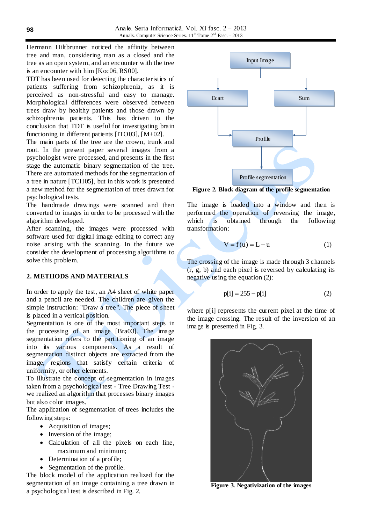Anale. Seria Informatică. Vol. XI fasc. 2 – 2013 Annals. Computer Science Series.  $11<sup>th</sup>$  Tome  $2<sup>nd</sup>$  Fasc.  $-2013$ 

Hermann Hiltbrunner noticed the affinity between tree and man, considering man as a closed and the tree as an open system, and an encounter with the tree is an encounter with him [Koc06, RS00].

TDT has been used for detecting the characteristics of patients suffering from schizophrenia, as it is perceived as non-stressful and easy to manage. Morphological differences were observed between trees draw by healthy patients and those drawn by schizophrenia patients. This has driven to the conclusion that TDT is useful for investigating brain functioning in different patients [ITO03], [M+02].

The main parts of the tree are the crown, trunk and root. In the present paper several images from a psychologist were processed, and presents in the first stage the automatic binary segmentation of the tree. There are automated methods for the segme ntation of a tree in nature [TCH05], but in this work is presented a new method for the segmentation of trees drawn for psychological tests.

The handmade drawings were scanned and then converted to images in order to be processed with the algorithm developed.

After scanning, the images were processed with software used for digital image editing to correct any noise arising with the scanning. In the future we consider the development of processing algorithms to solve this problem.

# **2. METHODS AND MATERIALS**

In order to apply the test, an A4 sheet of white paper and a pencil are needed. The children are given the simple instruction: "Draw a tree". The piece of sheet is placed in a vertical position.

Segmentation is one of the most important steps in the processing of an image [Bra03]. The image segmentation refers to the partitioning of an image into its various components. As a result of segmentation distinct objects are extracted from the image, regions that satisfy certain criteria of uniformity, or other elements.

To illustrate the concept of segmentation in images taken from a psychological test - Tree Drawing Test we realized an algorithm that processes binary images but also color images.

The application of segmentation of trees includes the following steps:

- Acquisition of images;
- Inversion of the image;
- Calculation of all the pixels on each line, maximum and minimum;
- Determination of a profile;
- Segmentation of the profile.

The block model of the application realized for the segmentation of an image containing a tree drawn in a psychological test is described in Fig. 2.



**Figure 2. Block diagram of the profile segmentation**

The image is loaded into a window and then is performed the operation of reversing the image, which is obtained through the following transformation:

$$
V = f(u) = L - u \tag{1}
$$

The crossing of the image is made through 3 channels  $(r, g, b)$  and each pixel is reversed by calculating its negative using the equation (2):

$$
p[i] = 255 - p[i] \tag{2}
$$

where p[i] represents the current pixel at the time of the image crossing. The result of the inversion of an image is presented in Fig. 3.



**Figure 3. Negativization of the images**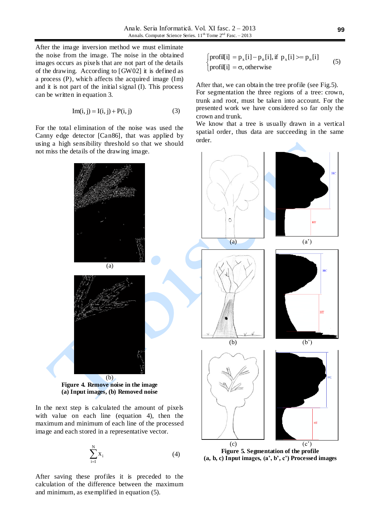After the image inversion method we must eliminate the noise from the image. The noise in the obtained images occurs as pixels that are not part of the details of the drawing. According to [GW02] it is defined as a process (P), which affects the acquired image (Im) and it is not part of the initial signal (I). This process can be written in equation 3.

$$
Im(i, j) = I(i, j) + P(i, j)
$$
 (3)

For the total elimination of the noise was used the Canny edge detector [Can86], that was applied by using a high sensibility threshold so that we should not miss the details of the drawing image.

$$
\begin{cases}\n\text{profit}[i] = p_x[i] - p_n[i], \text{if } p_x[i] \geq p_n[i] \\
\text{profit}[i] = \sigma, \text{otherwise}\n\end{cases} \tag{5}
$$

After that, we can obtain the tree profile (see Fig.5). For segmentation the three regions of a tree: crown, trunk and root, must be taken into account. For the presented work we have considered so far only the crown and trunk.

We know that a tree is usually drawn in a vertical spatial order, thus data are succeeding in the same order.



$$
\sum_{i=1}^{N} x_i
$$
 (4)

After saving these profiles it is preceded to the calculation of the difference between the maximum and minimum, as exemplified in equation (5).